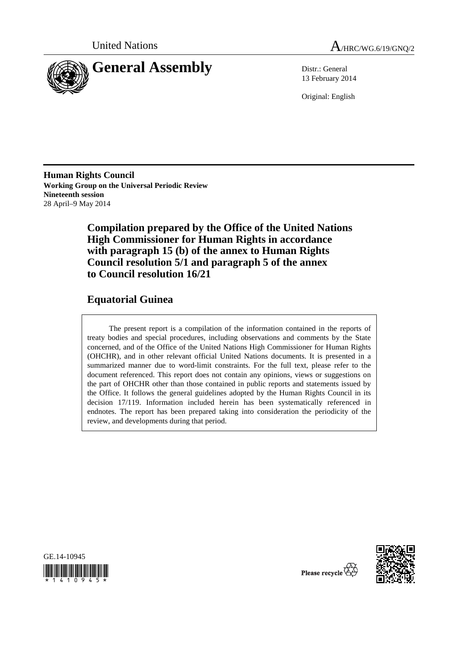



13 February 2014

Original: English

**Human Rights Council Working Group on the Universal Periodic Review Nineteenth session**  28 April–9 May 2014

> **Compilation prepared by the Office of the United Nations High Commissioner for Human Rights in accordance with paragraph 15 (b) of the annex to Human Rights Council resolution 5/1 and paragraph 5 of the annex to Council resolution 16/21**

# **Equatorial Guinea**

The present report is a compilation of the information contained in the reports of treaty bodies and special procedures, including observations and comments by the State concerned, and of the Office of the United Nations High Commissioner for Human Rights (OHCHR), and in other relevant official United Nations documents. It is presented in a summarized manner due to word-limit constraints. For the full text, please refer to the document referenced. This report does not contain any opinions, views or suggestions on the part of OHCHR other than those contained in public reports and statements issued by the Office. It follows the general guidelines adopted by the Human Rights Council in its decision 17/119. Information included herein has been systematically referenced in endnotes. The report has been prepared taking into consideration the periodicity of the review, and developments during that period.





Please recycle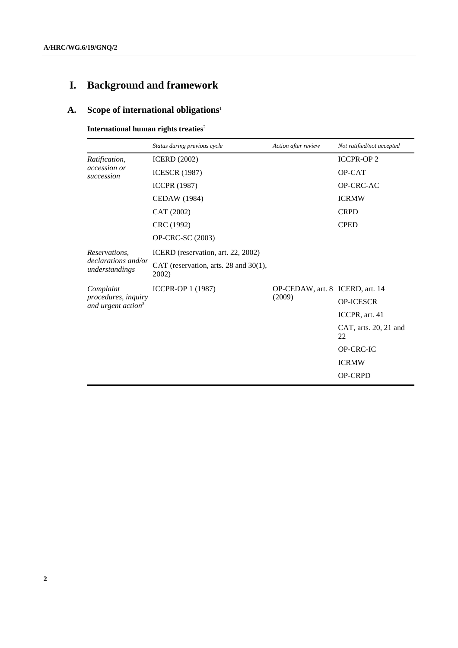# **I. Background and framework**

# **A. Scope of international obligations**<sup>1</sup>

**International human rights treaties<sup>2</sup>** 

|                                                                    | Status during previous cycle                   | Action after review                       | Not ratified/not accepted   |
|--------------------------------------------------------------------|------------------------------------------------|-------------------------------------------|-----------------------------|
| Ratification,<br>accession or<br>succession                        | <b>ICERD</b> (2002)                            |                                           | <b>ICCPR-OP2</b>            |
|                                                                    | <b>ICESCR (1987)</b>                           |                                           | OP-CAT                      |
|                                                                    | <b>ICCPR (1987)</b>                            |                                           | OP-CRC-AC                   |
|                                                                    | <b>CEDAW</b> (1984)                            |                                           | <b>ICRMW</b>                |
|                                                                    | CAT (2002)                                     |                                           | <b>CRPD</b>                 |
|                                                                    | CRC (1992)                                     |                                           | <b>CPED</b>                 |
|                                                                    | OP-CRC-SC (2003)                               |                                           |                             |
| Reservations.                                                      | ICERD (reservation, art. 22, 2002)             |                                           |                             |
| declarations and/or<br>understandings                              | CAT (reservation, arts. 28 and 30(1),<br>2002) |                                           |                             |
| Complaint<br>procedures, inquiry<br>and urgent action <sup>3</sup> | ICCPR-OP 1 (1987)                              | OP-CEDAW, art. 8 ICERD, art. 14<br>(2009) |                             |
|                                                                    |                                                |                                           | OP-ICESCR                   |
|                                                                    |                                                |                                           | ICCPR, art. 41              |
|                                                                    |                                                |                                           | CAT, arts. 20, 21 and<br>22 |
|                                                                    |                                                |                                           | OP-CRC-IC                   |
|                                                                    |                                                |                                           | <b>ICRMW</b>                |
|                                                                    |                                                |                                           | <b>OP-CRPD</b>              |
|                                                                    |                                                |                                           |                             |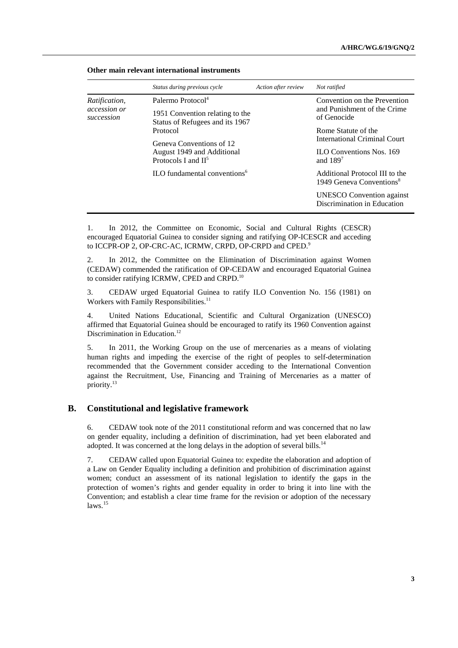|                                                    | Status during previous cycle                                       | Action after review | Not ratified                                                           |  |
|----------------------------------------------------|--------------------------------------------------------------------|---------------------|------------------------------------------------------------------------|--|
| <i>Ratification,</i><br>accession or<br>succession | Palermo Protocol <sup>4</sup>                                      |                     | Convention on the Prevention                                           |  |
|                                                    | 1951 Convention relating to the<br>Status of Refugees and its 1967 |                     | and Punishment of the Crime<br>of Genocide                             |  |
|                                                    | Protocol                                                           |                     | Rome Statute of the                                                    |  |
|                                                    | Geneva Conventions of 12                                           |                     | <b>International Criminal Court</b>                                    |  |
|                                                    | August 1949 and Additional<br>Protocols I and $II5$                |                     | <b>ILO Conventions Nos. 169</b><br>and $1897$                          |  |
|                                                    | ILO fundamental conventions <sup>6</sup>                           |                     | Additional Protocol III to the<br>1949 Geneva Conventions <sup>8</sup> |  |
|                                                    |                                                                    |                     | <b>UNESCO</b> Convention against<br>Discrimination in Education        |  |

#### **Other main relevant international instruments**

1. In 2012, the Committee on Economic, Social and Cultural Rights (CESCR) encouraged Equatorial Guinea to consider signing and ratifying OP-ICESCR and acceding to ICCPR-OP 2, OP-CRC-AC, ICRMW, CRPD, OP-CRPD and CPED.<sup>9</sup>

2. In 2012, the Committee on the Elimination of Discrimination against Women (CEDAW) commended the ratification of OP-CEDAW and encouraged Equatorial Guinea to consider ratifying ICRMW, CPED and CRPD.10

3. CEDAW urged Equatorial Guinea to ratify ILO Convention No. 156 (1981) on Workers with Family Responsibilities.<sup>11</sup>

4. United Nations Educational, Scientific and Cultural Organization (UNESCO) affirmed that Equatorial Guinea should be encouraged to ratify its 1960 Convention against Discrimination in Education.<sup>12</sup>

5. In 2011, the Working Group on the use of mercenaries as a means of violating human rights and impeding the exercise of the right of peoples to self-determination recommended that the Government consider acceding to the International Convention against the Recruitment, Use, Financing and Training of Mercenaries as a matter of priority.13

#### **B. Constitutional and legislative framework**

6. CEDAW took note of the 2011 constitutional reform and was concerned that no law on gender equality, including a definition of discrimination, had yet been elaborated and adopted. It was concerned at the long delays in the adoption of several bills.<sup>14</sup>

7. CEDAW called upon Equatorial Guinea to: expedite the elaboration and adoption of a Law on Gender Equality including a definition and prohibition of discrimination against women; conduct an assessment of its national legislation to identify the gaps in the protection of women's rights and gender equality in order to bring it into line with the Convention; and establish a clear time frame for the revision or adoption of the necessary laws.<sup>15</sup>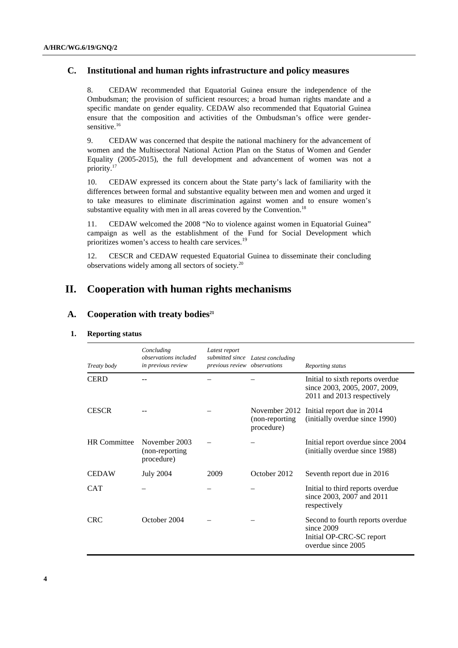### **C. Institutional and human rights infrastructure and policy measures**

8. CEDAW recommended that Equatorial Guinea ensure the independence of the Ombudsman; the provision of sufficient resources; a broad human rights mandate and a specific mandate on gender equality. CEDAW also recommended that Equatorial Guinea ensure that the composition and activities of the Ombudsman's office were gendersensitive.<sup>16</sup>

9. CEDAW was concerned that despite the national machinery for the advancement of women and the Multisectoral National Action Plan on the Status of Women and Gender Equality (2005-2015), the full development and advancement of women was not a priority.17

10. CEDAW expressed its concern about the State party's lack of familiarity with the differences between formal and substantive equality between men and women and urged it to take measures to eliminate discrimination against women and to ensure women's substantive equality with men in all areas covered by the Convention.<sup>18</sup>

11. CEDAW welcomed the 2008 "No to violence against women in Equatorial Guinea" campaign as well as the establishment of the Fund for Social Development which prioritizes women's access to health care services.<sup>19</sup>

12. CESCR and CEDAW requested Equatorial Guinea to disseminate their concluding observations widely among all sectors of society.20

# **II. Cooperation with human rights mechanisms**

#### A. Cooperation with treaty bodies<sup>21</sup>

 **1. Reporting status** 

| Treaty body         | Concluding<br>observations included<br>in previous review | Latest report<br>previous review observations | submitted since Latest concluding              | Reporting status                                                                                 |
|---------------------|-----------------------------------------------------------|-----------------------------------------------|------------------------------------------------|--------------------------------------------------------------------------------------------------|
| <b>CERD</b>         |                                                           |                                               |                                                | Initial to sixth reports overdue<br>since 2003, 2005, 2007, 2009,<br>2011 and 2013 respectively  |
| <b>CESCR</b>        |                                                           |                                               | November 2012<br>(non-reporting)<br>procedure) | Initial report due in 2014<br>(initially overdue since 1990)                                     |
| <b>HR</b> Committee | November 2003<br>(non-reporting)<br>procedure)            |                                               |                                                | Initial report overdue since 2004<br>(initially overdue since 1988)                              |
| <b>CEDAW</b>        | <b>July 2004</b>                                          | 2009                                          | October 2012                                   | Seventh report due in 2016                                                                       |
| <b>CAT</b>          |                                                           |                                               |                                                | Initial to third reports overdue<br>since 2003, 2007 and 2011<br>respectively                    |
| <b>CRC</b>          | October 2004                                              |                                               |                                                | Second to fourth reports overdue<br>since 2009<br>Initial OP-CRC-SC report<br>overdue since 2005 |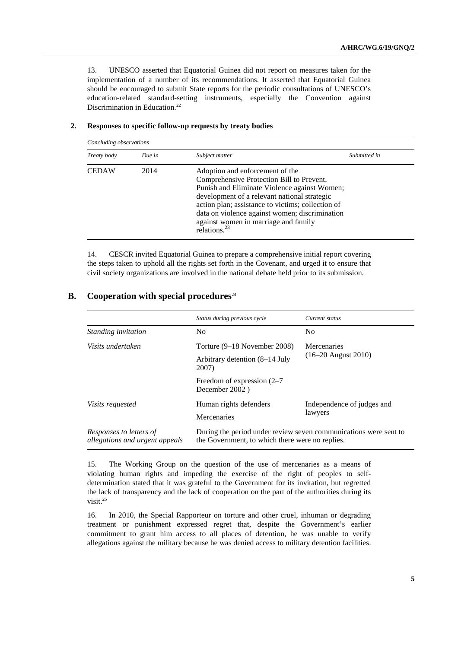13. UNESCO asserted that Equatorial Guinea did not report on measures taken for the implementation of a number of its recommendations. It asserted that Equatorial Guinea should be encouraged to submit State reports for the periodic consultations of UNESCO's education-related standard-setting instruments, especially the Convention against Discrimination in Education.<sup>22</sup>

| Concluding observations |        |                                                                                                                                                                                                                                                                                                                                                   |              |
|-------------------------|--------|---------------------------------------------------------------------------------------------------------------------------------------------------------------------------------------------------------------------------------------------------------------------------------------------------------------------------------------------------|--------------|
| Treaty body             | Due in | Subject matter                                                                                                                                                                                                                                                                                                                                    | Submitted in |
| <b>CEDAW</b>            | 2014   | Adoption and enforcement of the<br>Comprehensive Protection Bill to Prevent,<br>Punish and Eliminate Violence against Women;<br>development of a relevant national strategic<br>action plan; assistance to victims; collection of<br>data on violence against women; discrimination<br>against women in marriage and family<br>relations. $^{23}$ |              |

#### **2. Responses to specific follow-up requests by treaty bodies**

14. CESCR invited Equatorial Guinea to prepare a comprehensive initial report covering the steps taken to uphold all the rights set forth in the Covenant, and urged it to ensure that civil society organizations are involved in the national debate held prior to its submission.

# **B.** Cooperation with special procedures<sup>24</sup>

|                                                           | Status during previous cycle                                                                                        | Current status                              |  |
|-----------------------------------------------------------|---------------------------------------------------------------------------------------------------------------------|---------------------------------------------|--|
| Standing invitation                                       | N <sub>0</sub>                                                                                                      | N <sub>0</sub>                              |  |
| Visits undertaken                                         | Torture (9–18 November 2008)<br>Arbitrary detention (8–14 July<br>2007)                                             | <b>Mercenaries</b><br>$(16-20$ August 2010) |  |
|                                                           | Freedom of expression $(2-7)$<br>December 2002)                                                                     |                                             |  |
| <i>Visits requested</i>                                   | Human rights defenders<br>Mercenaries                                                                               | Independence of judges and<br>lawyers       |  |
| Responses to letters of<br>allegations and urgent appeals | During the period under review seven communications were sent to<br>the Government, to which there were no replies. |                                             |  |

15. The Working Group on the question of the use of mercenaries as a means of violating human rights and impeding the exercise of the right of peoples to selfdetermination stated that it was grateful to the Government for its invitation, but regretted the lack of transparency and the lack of cooperation on the part of the authorities during its visit.25

16. In 2010, the Special Rapporteur on torture and other cruel, inhuman or degrading treatment or punishment expressed regret that, despite the Government's earlier commitment to grant him access to all places of detention, he was unable to verify allegations against the military because he was denied access to military detention facilities.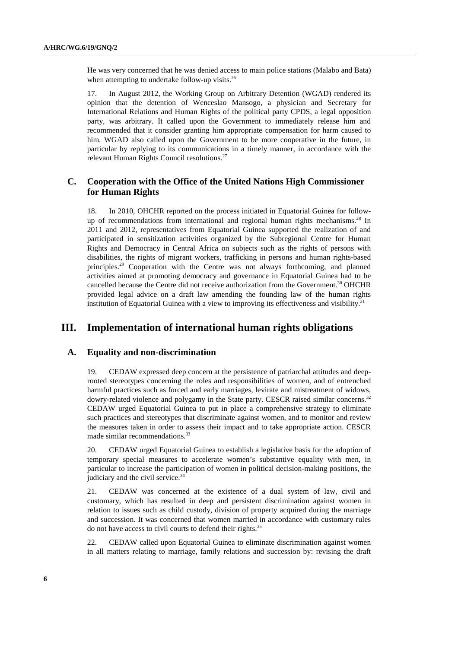He was very concerned that he was denied access to main police stations (Malabo and Bata) when attempting to undertake follow-up visits. $^{26}$ 

17. In August 2012, the Working Group on Arbitrary Detention (WGAD) rendered its opinion that the detention of Wenceslao Mansogo, a physician and Secretary for International Relations and Human Rights of the political party CPDS, a legal opposition party, was arbitrary. It called upon the Government to immediately release him and recommended that it consider granting him appropriate compensation for harm caused to him. WGAD also called upon the Government to be more cooperative in the future, in particular by replying to its communications in a timely manner, in accordance with the relevant Human Rights Council resolutions.<sup>27</sup>

# **C. Cooperation with the Office of the United Nations High Commissioner for Human Rights**

18. In 2010, OHCHR reported on the process initiated in Equatorial Guinea for followup of recommendations from international and regional human rights mechanisms.<sup>28</sup> In 2011 and 2012, representatives from Equatorial Guinea supported the realization of and participated in sensitization activities organized by the Subregional Centre for Human Rights and Democracy in Central Africa on subjects such as the rights of persons with disabilities, the rights of migrant workers, trafficking in persons and human rights-based principles.<sup>29</sup> Cooperation with the Centre was not always forthcoming, and planned activities aimed at promoting democracy and governance in Equatorial Guinea had to be cancelled because the Centre did not receive authorization from the Government.<sup>30</sup> OHCHR provided legal advice on a draft law amending the founding law of the human rights institution of Equatorial Guinea with a view to improving its effectiveness and visibility.<sup>31</sup>

# **III. Implementation of international human rights obligations**

#### **A. Equality and non-discrimination**

19. CEDAW expressed deep concern at the persistence of patriarchal attitudes and deeprooted stereotypes concerning the roles and responsibilities of women, and of entrenched harmful practices such as forced and early marriages, levirate and mistreatment of widows, dowry-related violence and polygamy in the State party. CESCR raised similar concerns.<sup>32</sup> CEDAW urged Equatorial Guinea to put in place a comprehensive strategy to eliminate such practices and stereotypes that discriminate against women, and to monitor and review the measures taken in order to assess their impact and to take appropriate action. CESCR made similar recommendations.<sup>33</sup>

20. CEDAW urged Equatorial Guinea to establish a legislative basis for the adoption of temporary special measures to accelerate women's substantive equality with men, in particular to increase the participation of women in political decision-making positions, the judiciary and the civil service. $34$ 

21. CEDAW was concerned at the existence of a dual system of law, civil and customary, which has resulted in deep and persistent discrimination against women in relation to issues such as child custody, division of property acquired during the marriage and succession. It was concerned that women married in accordance with customary rules do not have access to civil courts to defend their rights.<sup>35</sup>

22. CEDAW called upon Equatorial Guinea to eliminate discrimination against women in all matters relating to marriage, family relations and succession by: revising the draft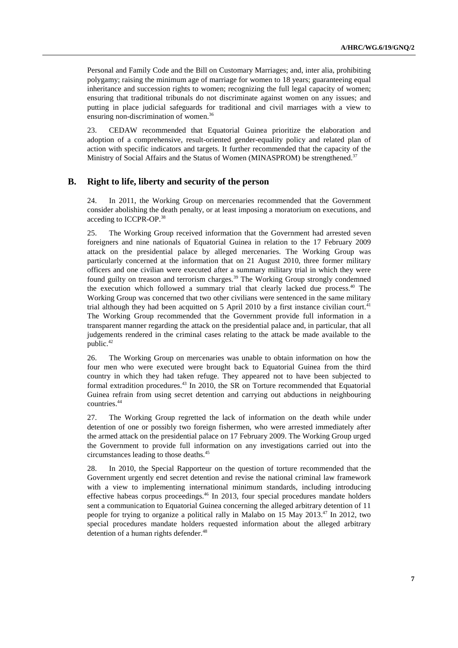Personal and Family Code and the Bill on Customary Marriages; and, inter alia, prohibiting polygamy; raising the minimum age of marriage for women to 18 years; guaranteeing equal inheritance and succession rights to women; recognizing the full legal capacity of women; ensuring that traditional tribunals do not discriminate against women on any issues; and putting in place judicial safeguards for traditional and civil marriages with a view to ensuring non-discrimination of women.<sup>36</sup>

23. CEDAW recommended that Equatorial Guinea prioritize the elaboration and adoption of a comprehensive, result-oriented gender-equality policy and related plan of action with specific indicators and targets. It further recommended that the capacity of the Ministry of Social Affairs and the Status of Women (MINASPROM) be strengthened.<sup>37</sup>

#### **B. Right to life, liberty and security of the person**

24. In 2011, the Working Group on mercenaries recommended that the Government consider abolishing the death penalty, or at least imposing a moratorium on executions, and acceding to ICCPR-OP.38

25. The Working Group received information that the Government had arrested seven foreigners and nine nationals of Equatorial Guinea in relation to the 17 February 2009 attack on the presidential palace by alleged mercenaries. The Working Group was particularly concerned at the information that on 21 August 2010, three former military officers and one civilian were executed after a summary military trial in which they were found guilty on treason and terrorism charges.<sup>39</sup> The Working Group strongly condemned the execution which followed a summary trial that clearly lacked due process.<sup>40</sup> The Working Group was concerned that two other civilians were sentenced in the same military trial although they had been acquitted on 5 April 2010 by a first instance civilian court.<sup>41</sup> The Working Group recommended that the Government provide full information in a transparent manner regarding the attack on the presidential palace and, in particular, that all judgements rendered in the criminal cases relating to the attack be made available to the public.<sup>42</sup>

26. The Working Group on mercenaries was unable to obtain information on how the four men who were executed were brought back to Equatorial Guinea from the third country in which they had taken refuge. They appeared not to have been subjected to formal extradition procedures. $43$  In 2010, the SR on Torture recommended that Equatorial Guinea refrain from using secret detention and carrying out abductions in neighbouring countries.44

27. The Working Group regretted the lack of information on the death while under detention of one or possibly two foreign fishermen, who were arrested immediately after the armed attack on the presidential palace on 17 February 2009. The Working Group urged the Government to provide full information on any investigations carried out into the circumstances leading to those deaths.45

28. In 2010, the Special Rapporteur on the question of torture recommended that the Government urgently end secret detention and revise the national criminal law framework with a view to implementing international minimum standards, including introducing effective habeas corpus proceedings.<sup>46</sup> In 2013, four special procedures mandate holders sent a communication to Equatorial Guinea concerning the alleged arbitrary detention of 11 people for trying to organize a political rally in Malabo on 15 May 2013.<sup>47</sup> In 2012, two special procedures mandate holders requested information about the alleged arbitrary detention of a human rights defender.<sup>48</sup>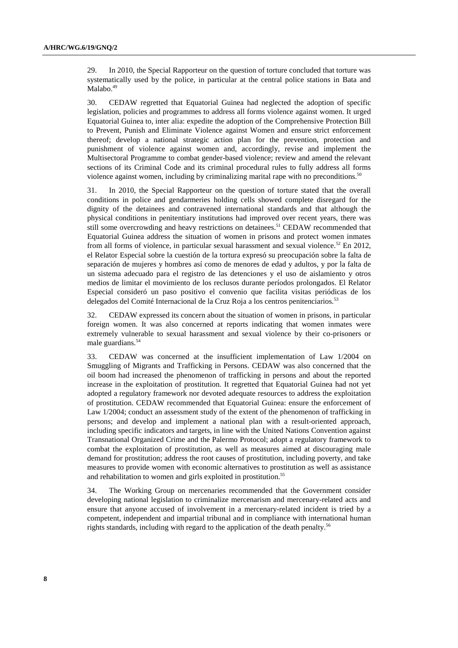29. In 2010, the Special Rapporteur on the question of torture concluded that torture was systematically used by the police, in particular at the central police stations in Bata and Malabo.<sup>49</sup>

30. CEDAW regretted that Equatorial Guinea had neglected the adoption of specific legislation, policies and programmes to address all forms violence against women. It urged Equatorial Guinea to, inter alia: expedite the adoption of the Comprehensive Protection Bill to Prevent, Punish and Eliminate Violence against Women and ensure strict enforcement thereof; develop a national strategic action plan for the prevention, protection and punishment of violence against women and, accordingly, revise and implement the Multisectoral Programme to combat gender-based violence; review and amend the relevant sections of its Criminal Code and its criminal procedural rules to fully address all forms violence against women, including by criminalizing marital rape with no preconditions.<sup>50</sup>

31. In 2010, the Special Rapporteur on the question of torture stated that the overall conditions in police and gendarmeries holding cells showed complete disregard for the dignity of the detainees and contravened international standards and that although the physical conditions in penitentiary institutions had improved over recent years, there was still some overcrowding and heavy restrictions on detainees.<sup>51</sup> CEDAW recommended that Equatorial Guinea address the situation of women in prisons and protect women inmates from all forms of violence, in particular sexual harassment and sexual violence.<sup>52</sup> En 2012, el Relator Especial sobre la cuestión de la tortura expresó su preocupación sobre la falta de separación de mujeres y hombres así como de menores de edad y adultos, y por la falta de un sistema adecuado para el registro de las detenciones y el uso de aislamiento y otros medios de limitar el movimiento de los reclusos durante períodos prolongados. El Relator Especial consideró un paso positivo el convenio que facilita visitas periódicas de los delegados del Comité Internacional de la Cruz Roja a los centros penitenciarios.<sup>53</sup>

32. CEDAW expressed its concern about the situation of women in prisons, in particular foreign women. It was also concerned at reports indicating that women inmates were extremely vulnerable to sexual harassment and sexual violence by their co-prisoners or male guardians.<sup>54</sup>

33. CEDAW was concerned at the insufficient implementation of Law 1/2004 on Smuggling of Migrants and Trafficking in Persons. CEDAW was also concerned that the oil boom had increased the phenomenon of trafficking in persons and about the reported increase in the exploitation of prostitution. It regretted that Equatorial Guinea had not yet adopted a regulatory framework nor devoted adequate resources to address the exploitation of prostitution. CEDAW recommended that Equatorial Guinea: ensure the enforcement of Law 1/2004; conduct an assessment study of the extent of the phenomenon of trafficking in persons; and develop and implement a national plan with a result-oriented approach, including specific indicators and targets, in line with the United Nations Convention against Transnational Organized Crime and the Palermo Protocol; adopt a regulatory framework to combat the exploitation of prostitution, as well as measures aimed at discouraging male demand for prostitution; address the root causes of prostitution, including poverty, and take measures to provide women with economic alternatives to prostitution as well as assistance and rehabilitation to women and girls exploited in prostitution.<sup>55</sup>

34. The Working Group on mercenaries recommended that the Government consider developing national legislation to criminalize mercenarism and mercenary-related acts and ensure that anyone accused of involvement in a mercenary-related incident is tried by a competent, independent and impartial tribunal and in compliance with international human rights standards, including with regard to the application of the death penalty.<sup>56</sup>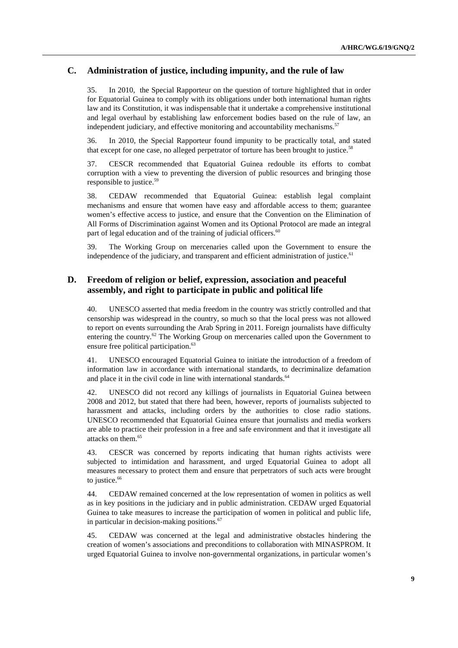# **C. Administration of justice, including impunity, and the rule of law**

35. In 2010, the Special Rapporteur on the question of torture highlighted that in order for Equatorial Guinea to comply with its obligations under both international human rights law and its Constitution, it was indispensable that it undertake a comprehensive institutional and legal overhaul by establishing law enforcement bodies based on the rule of law, an independent judiciary, and effective monitoring and accountability mechanisms.<sup>57</sup>

36. In 2010, the Special Rapporteur found impunity to be practically total, and stated that except for one case, no alleged perpetrator of torture has been brought to justice.<sup>58</sup>

37. CESCR recommended that Equatorial Guinea redouble its efforts to combat corruption with a view to preventing the diversion of public resources and bringing those responsible to justice.<sup>59</sup>

38. CEDAW recommended that Equatorial Guinea: establish legal complaint mechanisms and ensure that women have easy and affordable access to them; guarantee women's effective access to justice, and ensure that the Convention on the Elimination of All Forms of Discrimination against Women and its Optional Protocol are made an integral part of legal education and of the training of judicial officers.<sup>60</sup>

39. The Working Group on mercenaries called upon the Government to ensure the independence of the judiciary, and transparent and efficient administration of justice.<sup>61</sup>

## **D. Freedom of religion or belief, expression, association and peaceful assembly, and right to participate in public and political life**

40. UNESCO asserted that media freedom in the country was strictly controlled and that censorship was widespread in the country, so much so that the local press was not allowed to report on events surrounding the Arab Spring in 2011. Foreign journalists have difficulty entering the country.<sup>62</sup> The Working Group on mercenaries called upon the Government to ensure free political participation.<sup>63</sup>

41. UNESCO encouraged Equatorial Guinea to initiate the introduction of a freedom of information law in accordance with international standards, to decriminalize defamation and place it in the civil code in line with international standards.<sup>64</sup>

42. UNESCO did not record any killings of journalists in Equatorial Guinea between 2008 and 2012, but stated that there had been, however, reports of journalists subjected to harassment and attacks, including orders by the authorities to close radio stations. UNESCO recommended that Equatorial Guinea ensure that journalists and media workers are able to practice their profession in a free and safe environment and that it investigate all attacks on them.<sup>65</sup>

43. CESCR was concerned by reports indicating that human rights activists were subjected to intimidation and harassment, and urged Equatorial Guinea to adopt all measures necessary to protect them and ensure that perpetrators of such acts were brought to justice.<sup>66</sup>

44. CEDAW remained concerned at the low representation of women in politics as well as in key positions in the judiciary and in public administration. CEDAW urged Equatorial Guinea to take measures to increase the participation of women in political and public life, in particular in decision-making positions. $67$ 

45. CEDAW was concerned at the legal and administrative obstacles hindering the creation of women's associations and preconditions to collaboration with MINASPROM. It urged Equatorial Guinea to involve non-governmental organizations, in particular women's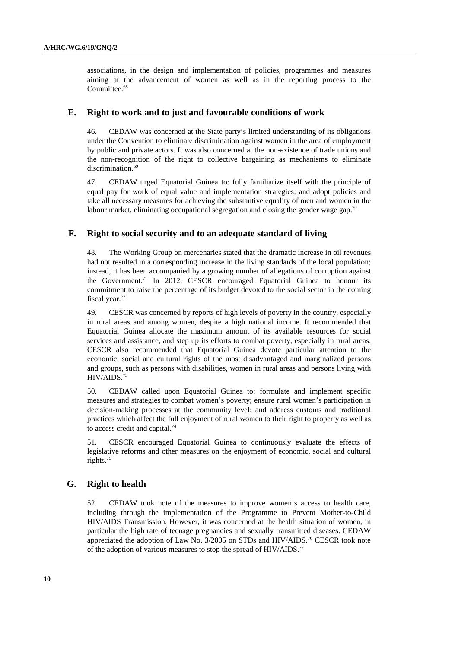associations, in the design and implementation of policies, programmes and measures aiming at the advancement of women as well as in the reporting process to the Committee.<sup>68</sup>

#### **E. Right to work and to just and favourable conditions of work**

46. CEDAW was concerned at the State party's limited understanding of its obligations under the Convention to eliminate discrimination against women in the area of employment by public and private actors. It was also concerned at the non-existence of trade unions and the non-recognition of the right to collective bargaining as mechanisms to eliminate discrimination.<sup>69</sup>

47. CEDAW urged Equatorial Guinea to: fully familiarize itself with the principle of equal pay for work of equal value and implementation strategies; and adopt policies and take all necessary measures for achieving the substantive equality of men and women in the labour market, eliminating occupational segregation and closing the gender wage gap.<sup>70</sup>

#### **F. Right to social security and to an adequate standard of living**

48. The Working Group on mercenaries stated that the dramatic increase in oil revenues had not resulted in a corresponding increase in the living standards of the local population; instead, it has been accompanied by a growing number of allegations of corruption against the Government.<sup>71</sup> In 2012, CESCR encouraged Equatorial Guinea to honour its commitment to raise the percentage of its budget devoted to the social sector in the coming fiscal year.<sup>72</sup>

49. CESCR was concerned by reports of high levels of poverty in the country, especially in rural areas and among women, despite a high national income. It recommended that Equatorial Guinea allocate the maximum amount of its available resources for social services and assistance, and step up its efforts to combat poverty, especially in rural areas. CESCR also recommended that Equatorial Guinea devote particular attention to the economic, social and cultural rights of the most disadvantaged and marginalized persons and groups, such as persons with disabilities, women in rural areas and persons living with HIV/AIDS.73

50. CEDAW called upon Equatorial Guinea to: formulate and implement specific measures and strategies to combat women's poverty; ensure rural women's participation in decision-making processes at the community level; and address customs and traditional practices which affect the full enjoyment of rural women to their right to property as well as to access credit and capital.<sup>74</sup>

51. CESCR encouraged Equatorial Guinea to continuously evaluate the effects of legislative reforms and other measures on the enjoyment of economic, social and cultural rights.<sup>75</sup>

#### **G. Right to health**

52. CEDAW took note of the measures to improve women's access to health care, including through the implementation of the Programme to Prevent Mother-to-Child HIV/AIDS Transmission. However, it was concerned at the health situation of women, in particular the high rate of teenage pregnancies and sexually transmitted diseases. CEDAW appreciated the adoption of Law No. 3/2005 on STDs and HIV/AIDS.<sup>76</sup> CESCR took note of the adoption of various measures to stop the spread of HIV/AIDS.<sup>77</sup>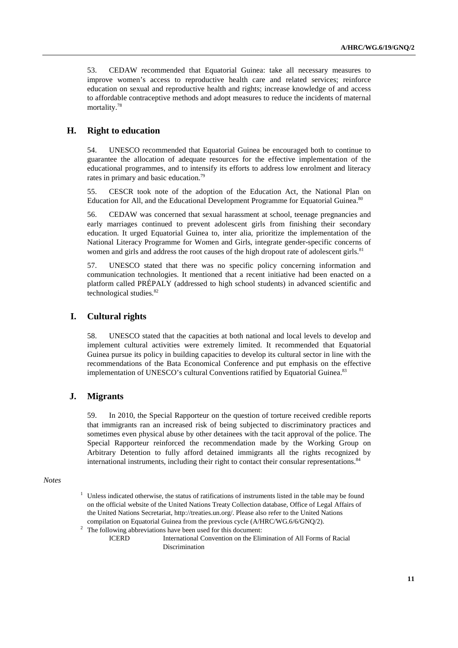53. CEDAW recommended that Equatorial Guinea: take all necessary measures to improve women's access to reproductive health care and related services; reinforce education on sexual and reproductive health and rights; increase knowledge of and access to affordable contraceptive methods and adopt measures to reduce the incidents of maternal mortality.78

#### **H. Right to education**

54. UNESCO recommended that Equatorial Guinea be encouraged both to continue to guarantee the allocation of adequate resources for the effective implementation of the educational programmes, and to intensify its efforts to address low enrolment and literacy rates in primary and basic education.<sup>79</sup>

55. CESCR took note of the adoption of the Education Act, the National Plan on Education for All, and the Educational Development Programme for Equatorial Guinea.<sup>80</sup>

56. CEDAW was concerned that sexual harassment at school, teenage pregnancies and early marriages continued to prevent adolescent girls from finishing their secondary education. It urged Equatorial Guinea to, inter alia, prioritize the implementation of the National Literacy Programme for Women and Girls, integrate gender-specific concerns of women and girls and address the root causes of the high dropout rate of adolescent girls.<sup>81</sup>

57. UNESCO stated that there was no specific policy concerning information and communication technologies. It mentioned that a recent initiative had been enacted on a platform called PRÉPALY (addressed to high school students) in advanced scientific and technological studies. $82$ 

#### **I. Cultural rights**

58. UNESCO stated that the capacities at both national and local levels to develop and implement cultural activities were extremely limited. It recommended that Equatorial Guinea pursue its policy in building capacities to develop its cultural sector in line with the recommendations of the Bata Economical Conference and put emphasis on the effective implementation of UNESCO's cultural Conventions ratified by Equatorial Guinea.<sup>83</sup>

#### **J. Migrants**

59. In 2010, the Special Rapporteur on the question of torture received credible reports that immigrants ran an increased risk of being subjected to discriminatory practices and sometimes even physical abuse by other detainees with the tacit approval of the police. The Special Rapporteur reinforced the recommendation made by the Working Group on Arbitrary Detention to fully afford detained immigrants all the rights recognized by international instruments, including their right to contact their consular representations.<sup>84</sup>

#### *Notes*

- 1 Unless indicated otherwise, the status of ratifications of instruments listed in the table may be found on the official website of the United Nations Treaty Collection database, Office of Legal Affairs of the United Nations Secretariat, http://treaties.un.org/. Please also refer to the United Nations compilation on Equatorial Guinea from the previous cycle (A/HRC/WG.6/6/GNQ/2).
- The following abbreviations have been used for this document:

ICERD International Convention on the Elimination of All Forms of Racial Discrimination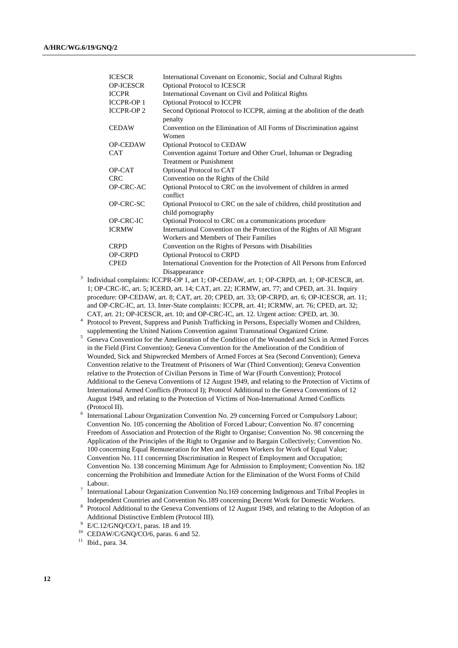| <b>ICESCR</b>    | International Covenant on Economic, Social and Cultural Rights                                |
|------------------|-----------------------------------------------------------------------------------------------|
| <b>OP-ICESCR</b> | <b>Optional Protocol to ICESCR</b>                                                            |
| <b>ICCPR</b>     | International Covenant on Civil and Political Rights                                          |
| <b>ICCPR-OP1</b> | <b>Optional Protocol to ICCPR</b>                                                             |
| <b>ICCPR-OP2</b> | Second Optional Protocol to ICCPR, aiming at the abolition of the death<br>penalty            |
| <b>CEDAW</b>     | Convention on the Elimination of All Forms of Discrimination against<br>Women                 |
| <b>OP-CEDAW</b>  | <b>Optional Protocol to CEDAW</b>                                                             |
| <b>CAT</b>       | Convention against Torture and Other Cruel, Inhuman or Degrading                              |
|                  | <b>Treatment or Punishment</b>                                                                |
| OP-CAT           | Optional Protocol to CAT                                                                      |
| <b>CRC</b>       | Convention on the Rights of the Child                                                         |
| OP-CRC-AC        | Optional Protocol to CRC on the involvement of children in armed<br>conflict                  |
| OP-CRC-SC        | Optional Protocol to CRC on the sale of children, child prostitution and<br>child pornography |
| OP-CRC-IC        | Optional Protocol to CRC on a communications procedure                                        |
| <b>ICRMW</b>     | International Convention on the Protection of the Rights of All Migrant                       |
|                  | Workers and Members of Their Families                                                         |
| <b>CRPD</b>      | Convention on the Rights of Persons with Disabilities                                         |
| <b>OP-CRPD</b>   | <b>Optional Protocol to CRPD</b>                                                              |
| <b>CPED</b>      | International Convention for the Protection of All Persons from Enforced                      |
|                  | Disappearance                                                                                 |

Disappearance<br>
<sup>3</sup> Individual complaints: ICCPR-OP 1, art 1; OP-CEDAW, art. 1; OP-CRPD, art. 1; OP-ICESCR, art. 1; OP-CRC-IC, art. 5; ICERD, art. 14; CAT, art. 22; ICRMW, art. 77; and CPED, art. 31. Inquiry procedure: OP-CEDAW, art. 8; CAT, art. 20; CPED, art. 33; OP-CRPD, art. 6; OP-ICESCR, art. 11; and OP-CRC-IC, art. 13. Inter-State complaints: ICCPR, art. 41; ICRMW, art. 76; CPED, art. 32; CAT, art. 21; OP-ICESCR, art. 10; and OP-CRC-IC, art. 12. Urgent action: CPED, art. 30.

 Protocol to Prevent, Suppress and Punish Trafficking in Persons, Especially Women and Children, supplementing the United Nations Convention against Transnational Organized Crime.<br>
<sup>5</sup> Geneva Convention for the Amelioration of the Condition of the Wounded and Sick in

- Geneva Convention for the Amelioration of the Condition of the Wounded and Sick in Armed Forces in the Field (First Convention); Geneva Convention for the Amelioration of the Condition of Wounded, Sick and Shipwrecked Members of Armed Forces at Sea (Second Convention); Geneva Convention relative to the Treatment of Prisoners of War (Third Convention); Geneva Convention relative to the Protection of Civilian Persons in Time of War (Fourth Convention); Protocol Additional to the Geneva Conventions of 12 August 1949, and relating to the Protection of Victims of International Armed Conflicts (Protocol I); Protocol Additional to the Geneva Conventions of 12 August 1949, and relating to the Protection of Victims of Non-International Armed Conflicts (Protocol II).<br><sup>6</sup> International Labour Organization Convention No. 29 concerning Forced or Compulsory Labour;
- Convention No. 105 concerning the Abolition of Forced Labour; Convention No. 87 concerning Freedom of Association and Protection of the Right to Organise; Convention No. 98 concerning the Application of the Principles of the Right to Organise and to Bargain Collectively; Convention No. 100 concerning Equal Remuneration for Men and Women Workers for Work of Equal Value; Convention No. 111 concerning Discrimination in Respect of Employment and Occupation; Convention No. 138 concerning Minimum Age for Admission to Employment; Convention No. 182 concerning the Prohibition and Immediate Action for the Elimination of the Worst Forms of Child
- Labour.<br><sup>7</sup> International Labour Organization Convention No.169 concerning Indigenous and Tribal Peoples in Independent Countries and Convention No.189 concerning Decent Work for Domestic Workers. 8
- Protocol Additional to the Geneva Conventions of 12 August 1949, and relating to the Adoption of an Additional Distinctive Emblem (Protocol III). 9

 $10$  CEDAW/C/GNQ/CO/6, paras. 6 and 52.

E/C.12/GNQ/CO/1, paras. 18 and 19.

<sup>11</sup> Ibid., para. 34.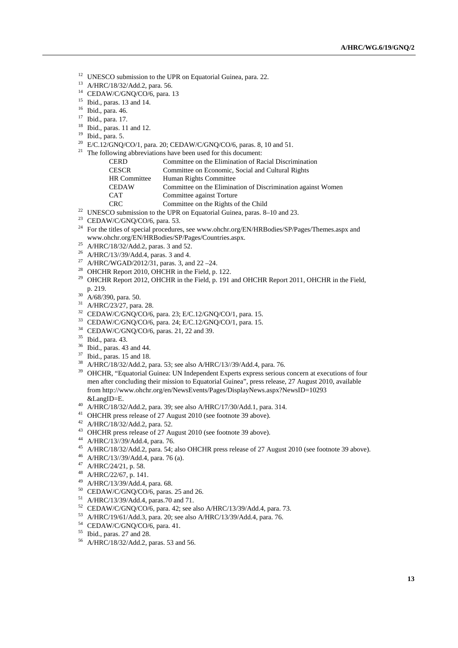<sup>12</sup> UNESCO submission to the UPR on Equatorial Guinea, para. 22.

- 13 A/HRC/18/32/Add.2, para. 56.
- <sup>14</sup> CEDAW/C/GNQ/CO/6, para. 13
- $15$  Ibid., paras. 13 and 14.
- 16 Ibid., para. 46.
- 17 Ibid., para. 17.
- $18$  Ibid., paras. 11 and 12.
- 19 Ibid., para. 5.
- $^{20}$  E/C.12/GNQ/CO/1, para. 20; CEDAW/C/GNQ/CO/6, paras. 8, 10 and 51.
- $21$  The following abbreviations have been used for this document:
	- CERD Committee on the Elimination of Racial Discrimination CESCR Committee on Economic, Social and Cultural Rights HR Committee Human Rights Committee
	- CEDAW Committee on the Elimination of Discrimination against Women
	- CAT Committee against Torture
	-
- CRC Committee on the Rights of the Child 22 UNESCO submission to the UPR on Equatorial Guinea, paras. 8–10 and 23.
- $23$  CEDAW/C/GNQ/CO/6, para. 53.
- <sup>24</sup> For the titles of special procedures, see www.ohchr.org/EN/HRBodies/SP/Pages/Themes.aspx and www.ohchr.org/EN/HRBodies/SP/Pages/Countries.aspx. 25 A/HRC/18/32/Add.2, paras. 3 and 52.
- 
- 26 A/HRC/13//39/Add.4, paras. 3 and 4.
- <sup>27</sup> A/HRC/WGAD/2012/31, paras. 3, and 22 –24.
- <sup>28</sup> OHCHR Report 2010, OHCHR in the Field, p. 122.
- <sup>29</sup> OHCHR Report 2012, OHCHR in the Field, p. 191 and OHCHR Report 2011, OHCHR in the Field, p. 219. 30 A/68/390, para. 50.
- 
- <sup>31</sup> A/HRC/23/27, para. 28.
- 32 CEDAW/C/GNQ/CO/6, para. 23; E/C.12/GNQ/CO/1, para. 15.
- 33 CEDAW/C/GNQ/CO/6, para. 24; E/C.12/GNQ/CO/1, para. 15.
- 34 CEDAW/C/GNQ/CO/6, paras. 21, 22 and 39.
- 35 Ibid., para. 43.
- 36 Ibid., paras. 43 and 44.
- 37 Ibid., paras. 15 and 18.
- 38 A/HRC/18/32/Add.2, para. 53; see also A/HRC/13//39/Add.4, para. 76.
- <sup>39</sup> OHCHR, "Equatorial Guinea: UN Independent Experts express serious concern at executions of four men after concluding their mission to Equatorial Guinea", press release, 27 August 2010, available from http://www.ohchr.org/en/NewsEvents/Pages/DisplayNews.aspx?NewsID=10293
- &LangID=E. 40 A/HRC/18/32/Add.2, para. 39; see also A/HRC/17/30/Add.1, para. 314.
- <sup>41</sup> OHCHR press release of 27 August 2010 (see footnote 39 above).
- 42 A/HRC/18/32/Add.2, para. 52.
- 43 OHCHR press release of 27 August 2010 (see footnote 39 above).
- 44 A/HRC/13//39/Add.4, para. 76.
- 45 A/HRC/18/32/Add.2, para. 54; also OHCHR press release of 27 August 2010 (see footnote 39 above).
- 46 A/HRC/13//39/Add.4, para. 76 (a).
- 47 A/HRC/24/21, p. 58.
- 48 A/HRC/22/67, p. 141.
- 49 A/HRC/13/39/Add.4, para. 68.
- 50 CEDAW/C/GNQ/CO/6, paras. 25 and 26.
- 51 A/HRC/13/39/Add.4, paras.70 and 71.
- 52 CEDAW/C/GNQ/CO/6, para. 42; see also A/HRC/13/39/Add.4, para. 73.
- 53 A/HRC/19/61/Add.3, para. 20; see also A/HRC/13/39/Add.4, para. 76.
- 54 CEDAW/C/GNQ/CO/6, para. 41.
- 55 Ibid., paras. 27 and 28.
- 56 A/HRC/18/32/Add.2, paras. 53 and 56.